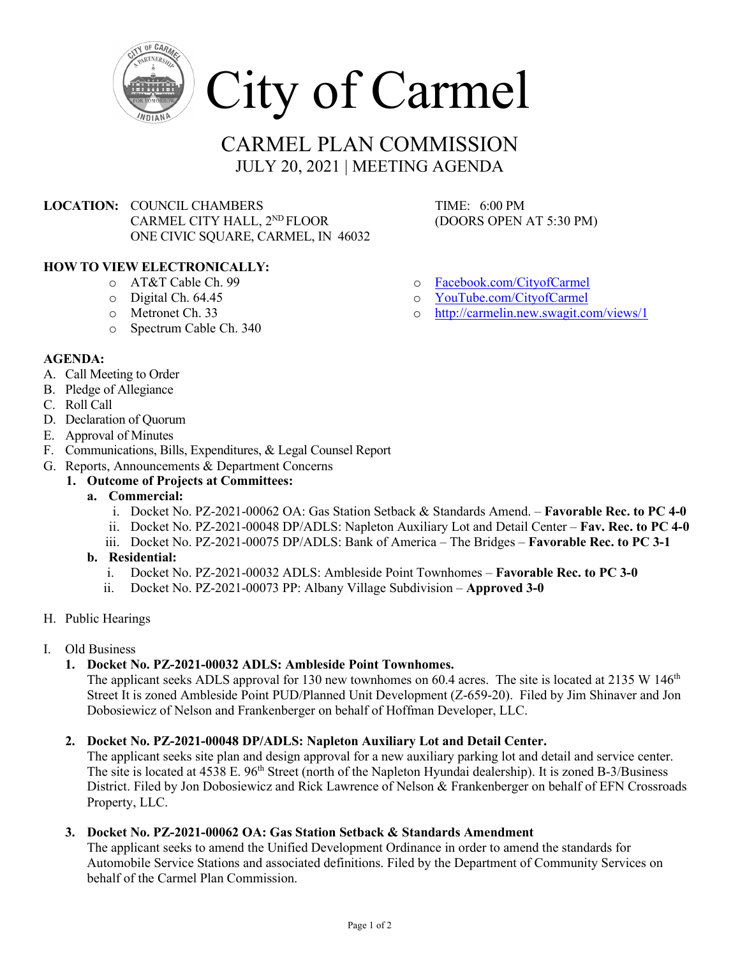

# CARMEL PLAN COMMISSION JULY 20, 2021 | MEETING AGENDA

**LOCATION: COUNCIL CHAMBERS TIME: 6:00 PM** CARMEL CITY HALL,  $2^{ND}$  FLOOR (DOORS OPEN AT 5:30 PM) ONE CIVIC SQUARE, CARMEL, IN 46032

# **HOW TO VIEW ELECTRONICALLY:**

- o AT&T Cable Ch. 99
- o Digital Ch. 64.45
- o Metronet Ch. 33
- o Spectrum Cable Ch. 340

- o [Facebook.com/CityofCarmel](https://www.facebook.com/CityofCarmel/)
- o <u>[YouTube.com/CityofCarmel](https://www.youtube.com/channel/UCehYsbi2i8jGvjkmE9cSPmg)</u><br>http://carmelin.new.swagit.co
- <http://carmelin.new.swagit.com/views/1>

- **AGENDA:**
- A. Call Meeting to Order
- B. Pledge of Allegiance
- C. Roll Call
- D. Declaration of Quorum
- E. Approval of Minutes
- F. Communications, Bills, Expenditures, & Legal Counsel Report
- G. Reports, Announcements & Department Concerns
	- **1. Outcome of Projects at Committees:**
		- **a. Commercial:**
			- i. Docket No. PZ-2021-00062 OA: Gas Station Setback & Standards Amend. **Favorable Rec. to PC 4-0**
			- ii. Docket No. PZ-2021-00048 DP/ADLS: Napleton Auxiliary Lot and Detail Center **Fav. Rec. to PC 4-0**
			- iii. Docket No. PZ-2021-00075 DP/ADLS: Bank of America The Bridges **Favorable Rec. to PC 3-1**
		- **b. Residential:** 
			- i. Docket No. PZ-2021-00032 ADLS: Ambleside Point Townhomes **Favorable Rec. to PC 3-0**
			- ii. Docket No. PZ-2021-00073 PP: Albany Village Subdivision **Approved 3-0**
- H. Public Hearings
- I. Old Business
	- **1. Docket No. PZ-2021-00032 ADLS: Ambleside Point Townhomes.**

The applicant seeks ADLS approval for 130 new townhomes on 60.4 acres. The site is located at 2135 W 146<sup>th</sup> Street It is zoned Ambleside Point PUD/Planned Unit Development (Z-659-20). Filed by Jim Shinaver and Jon Dobosiewicz of Nelson and Frankenberger on behalf of Hoffman Developer, LLC.

# **2. Docket No. PZ-2021-00048 DP/ADLS: Napleton Auxiliary Lot and Detail Center.**

The applicant seeks site plan and design approval for a new auxiliary parking lot and detail and service center. The site is located at 4538 E. 96<sup>th</sup> Street (north of the Napleton Hyundai dealership). It is zoned B-3/Business District. Filed by Jon Dobosiewicz and Rick Lawrence of Nelson & Frankenberger on behalf of EFN Crossroads Property, LLC.

# **3. Docket No. PZ-2021-00062 OA: Gas Station Setback & Standards Amendment**

The applicant seeks to amend the Unified Development Ordinance in order to amend the standards for Automobile Service Stations and associated definitions. Filed by the Department of Community Services on behalf of the Carmel Plan Commission.